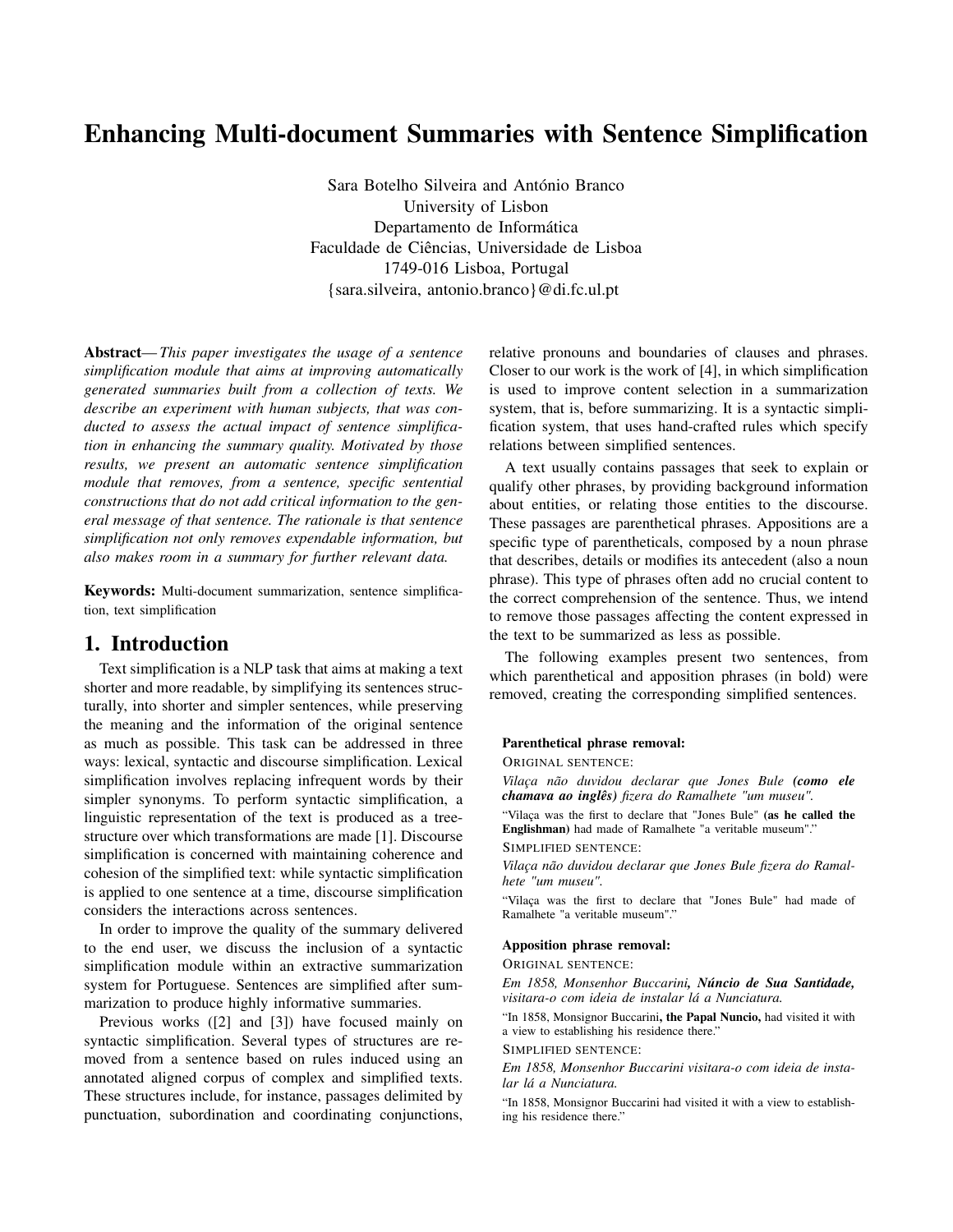# Enhancing Multi-document Summaries with Sentence Simplification

Sara Botelho Silveira and António Branco University of Lisbon Departamento de Informática Faculdade de Ciências, Universidade de Lisboa 1749-016 Lisboa, Portugal {sara.silveira, antonio.branco}@di.fc.ul.pt

Abstract—*This paper investigates the usage of a sentence simplification module that aims at improving automatically generated summaries built from a collection of texts. We describe an experiment with human subjects, that was conducted to assess the actual impact of sentence simplification in enhancing the summary quality. Motivated by those results, we present an automatic sentence simplification module that removes, from a sentence, specific sentential constructions that do not add critical information to the general message of that sentence. The rationale is that sentence simplification not only removes expendable information, but also makes room in a summary for further relevant data.*

Keywords: Multi-document summarization, sentence simplification, text simplification

### 1. Introduction

Text simplification is a NLP task that aims at making a text shorter and more readable, by simplifying its sentences structurally, into shorter and simpler sentences, while preserving the meaning and the information of the original sentence as much as possible. This task can be addressed in three ways: lexical, syntactic and discourse simplification. Lexical simplification involves replacing infrequent words by their simpler synonyms. To perform syntactic simplification, a linguistic representation of the text is produced as a treestructure over which transformations are made [1]. Discourse simplification is concerned with maintaining coherence and cohesion of the simplified text: while syntactic simplification is applied to one sentence at a time, discourse simplification considers the interactions across sentences.

In order to improve the quality of the summary delivered to the end user, we discuss the inclusion of a syntactic simplification module within an extractive summarization system for Portuguese. Sentences are simplified after summarization to produce highly informative summaries.

Previous works ([2] and [3]) have focused mainly on syntactic simplification. Several types of structures are removed from a sentence based on rules induced using an annotated aligned corpus of complex and simplified texts. These structures include, for instance, passages delimited by punctuation, subordination and coordinating conjunctions, relative pronouns and boundaries of clauses and phrases. Closer to our work is the work of [4], in which simplification is used to improve content selection in a summarization system, that is, before summarizing. It is a syntactic simplification system, that uses hand-crafted rules which specify relations between simplified sentences.

A text usually contains passages that seek to explain or qualify other phrases, by providing background information about entities, or relating those entities to the discourse. These passages are parenthetical phrases. Appositions are a specific type of parentheticals, composed by a noun phrase that describes, details or modifies its antecedent (also a noun phrase). This type of phrases often add no crucial content to the correct comprehension of the sentence. Thus, we intend to remove those passages affecting the content expressed in the text to be summarized as less as possible.

The following examples present two sentences, from which parenthetical and apposition phrases (in bold) were removed, creating the corresponding simplified sentences.

#### Parenthetical phrase removal:

ORIGINAL SENTENCE:

*Vilaça não duvidou declarar que Jones Bule (como ele chamava ao inglês) fizera do Ramalhete "um museu".*

"Vilaça was the first to declare that "Jones Bule" (as he called the Englishman) had made of Ramalhete "a veritable museum"."

SIMPLIFIED SENTENCE:

*Vilaça não duvidou declarar que Jones Bule fizera do Ramalhete "um museu".*

"Vilaça was the first to declare that "Jones Bule" had made of Ramalhete "a veritable museum".'

#### Apposition phrase removal:

ORIGINAL SENTENCE:

*Em 1858, Monsenhor Buccarini, Núncio de Sua Santidade, visitara-o com ideia de instalar lá a Nunciatura.*

"In 1858, Monsignor Buccarini, the Papal Nuncio, had visited it with a view to establishing his residence there."

SIMPLIFIED SENTENCE:

*Em 1858, Monsenhor Buccarini visitara-o com ideia de instalar lá a Nunciatura.*

"In 1858, Monsignor Buccarini had visited it with a view to establishing his residence there."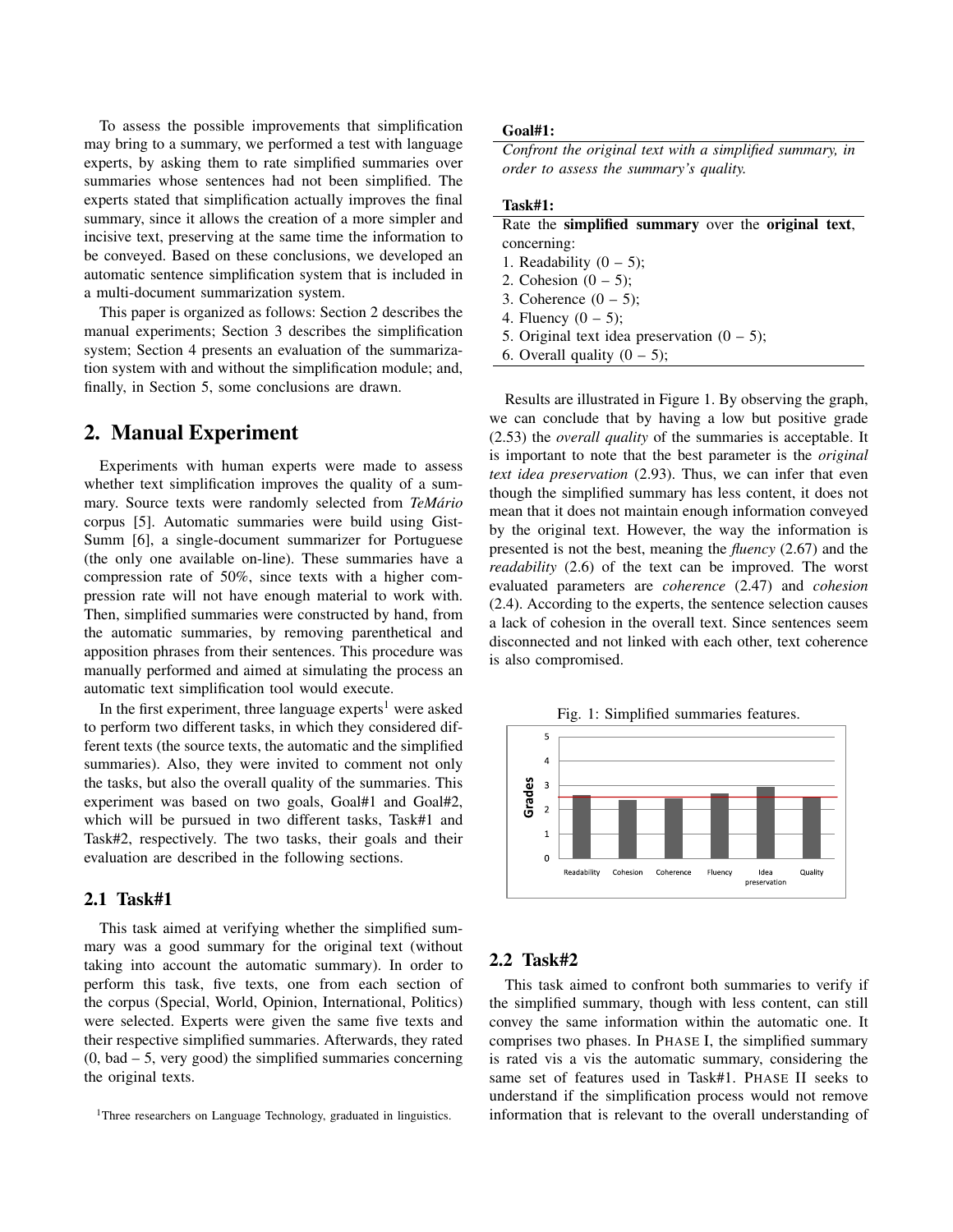To assess the possible improvements that simplification may bring to a summary, we performed a test with language experts, by asking them to rate simplified summaries over summaries whose sentences had not been simplified. The experts stated that simplification actually improves the final summary, since it allows the creation of a more simpler and incisive text, preserving at the same time the information to be conveyed. Based on these conclusions, we developed an automatic sentence simplification system that is included in a multi-document summarization system.

This paper is organized as follows: Section 2 describes the manual experiments; Section 3 describes the simplification system; Section 4 presents an evaluation of the summarization system with and without the simplification module; and, finally, in Section 5, some conclusions are drawn.

# 2. Manual Experiment

Experiments with human experts were made to assess whether text simplification improves the quality of a summary. Source texts were randomly selected from *TeMário* corpus [5]. Automatic summaries were build using Gist-Summ [6], a single-document summarizer for Portuguese (the only one available on-line). These summaries have a compression rate of 50%, since texts with a higher compression rate will not have enough material to work with. Then, simplified summaries were constructed by hand, from the automatic summaries, by removing parenthetical and apposition phrases from their sentences. This procedure was manually performed and aimed at simulating the process an automatic text simplification tool would execute.

In the first experiment, three language experts<sup>1</sup> were asked to perform two different tasks, in which they considered different texts (the source texts, the automatic and the simplified summaries). Also, they were invited to comment not only the tasks, but also the overall quality of the summaries. This experiment was based on two goals, Goal#1 and Goal#2, which will be pursued in two different tasks, Task#1 and Task#2, respectively. The two tasks, their goals and their evaluation are described in the following sections.

### 2.1 Task#1

This task aimed at verifying whether the simplified summary was a good summary for the original text (without taking into account the automatic summary). In order to perform this task, five texts, one from each section of the corpus (Special, World, Opinion, International, Politics) were selected. Experts were given the same five texts and their respective simplified summaries. Afterwards, they rated  $(0, bad – 5, very good)$  the simplified summaries concerning the original texts.

#### Goal#1:

*Confront the original text with a simplified summary, in order to assess the summary's quality.*

### Task#1:

| Rate the simplified summary over the original text, |
|-----------------------------------------------------|
| concerning:                                         |
| 1. Readability $(0 - 5)$ ;                          |
| 2. Cohesion $(0 - 5)$ ;                             |
| 3. Coherence $(0 - 5)$ ;                            |
| 4. Fluency $(0 - 5)$ ;                              |
| 5. Original text idea preservation $(0 - 5)$ ;      |
| 6. Overall quality $(0 - 5)$ ;                      |

Results are illustrated in Figure 1. By observing the graph, we can conclude that by having a low but positive grade (2.53) the *overall quality* of the summaries is acceptable. It is important to note that the best parameter is the *original text idea preservation* (2.93). Thus, we can infer that even though the simplified summary has less content, it does not mean that it does not maintain enough information conveyed by the original text. However, the way the information is presented is not the best, meaning the *fluency* (2.67) and the *readability* (2.6) of the text can be improved. The worst evaluated parameters are *coherence* (2.47) and *cohesion* (2.4). According to the experts, the sentence selection causes a lack of cohesion in the overall text. Since sentences seem disconnected and not linked with each other, text coherence is also compromised.

Fig. 1: Simplified summaries features.



### 2.2 Task#2

This task aimed to confront both summaries to verify if the simplified summary, though with less content, can still convey the same information within the automatic one. It comprises two phases. In PHASE I, the simplified summary is rated vis a vis the automatic summary, considering the same set of features used in Task#1. PHASE II seeks to understand if the simplification process would not remove information that is relevant to the overall understanding of

<sup>&</sup>lt;sup>1</sup>Three researchers on Language Technology, graduated in linguistics.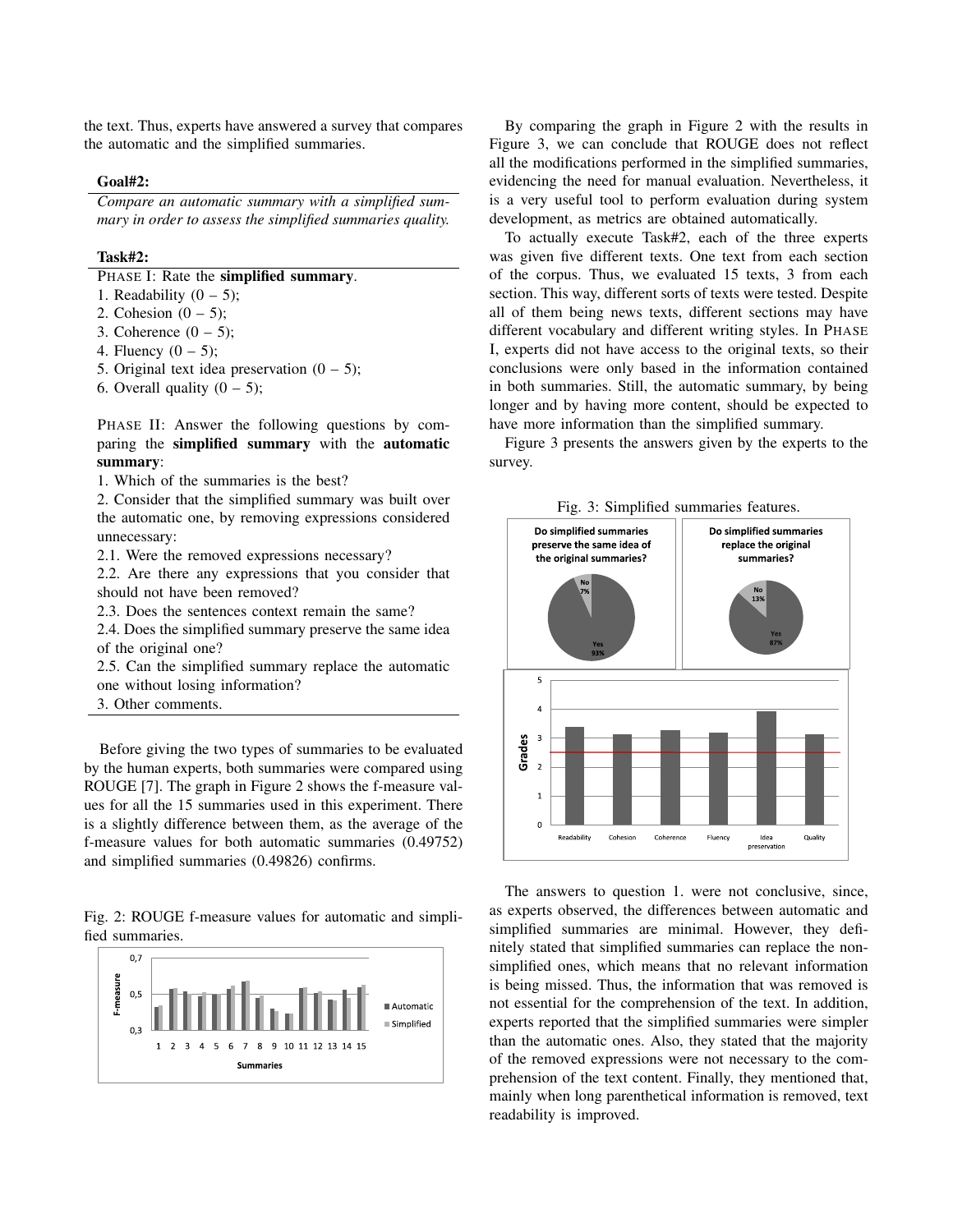the text. Thus, experts have answered a survey that compares the automatic and the simplified summaries.

### Goal#2:

*Compare an automatic summary with a simplified summary in order to assess the simplified summaries quality.*

#### Task#2:

PHASE I: Rate the simplified summary.

- 1. Readability  $(0 5)$ ;
- 2. Cohesion  $(0 5)$ ;
- 3. Coherence  $(0 5)$ ;
- 4. Fluency  $(0 5)$ ;
- 5. Original text idea preservation  $(0 5)$ ;
- 6. Overall quality  $(0 5)$ ;

PHASE II: Answer the following questions by comparing the simplified summary with the automatic summary:

1. Which of the summaries is the best?

2. Consider that the simplified summary was built over the automatic one, by removing expressions considered unnecessary:

2.1. Were the removed expressions necessary?

2.2. Are there any expressions that you consider that should not have been removed?

2.3. Does the sentences context remain the same?

2.4. Does the simplified summary preserve the same idea of the original one?

- 2.5. Can the simplified summary replace the automatic one without losing information?
- 3. Other comments.

Before giving the two types of summaries to be evaluated by the human experts, both summaries were compared using ROUGE [7]. The graph in Figure 2 shows the f-measure values for all the 15 summaries used in this experiment. There is a slightly difference between them, as the average of the f-measure values for both automatic summaries (0.49752) and simplified summaries (0.49826) confirms.

Fig. 2: ROUGE f-measure values for automatic and simplified summaries.



By comparing the graph in Figure 2 with the results in Figure 3, we can conclude that ROUGE does not reflect all the modifications performed in the simplified summaries, evidencing the need for manual evaluation. Nevertheless, it is a very useful tool to perform evaluation during system development, as metrics are obtained automatically.

To actually execute Task#2, each of the three experts was given five different texts. One text from each section of the corpus. Thus, we evaluated 15 texts, 3 from each section. This way, different sorts of texts were tested. Despite all of them being news texts, different sections may have different vocabulary and different writing styles. In PHASE I, experts did not have access to the original texts, so their conclusions were only based in the information contained in both summaries. Still, the automatic summary, by being longer and by having more content, should be expected to have more information than the simplified summary.

Figure 3 presents the answers given by the experts to the survey.

Fig. 3: Simplified summaries features.



The answers to question 1. were not conclusive, since, as experts observed, the differences between automatic and simplified summaries are minimal. However, they definitely stated that simplified summaries can replace the nonsimplified ones, which means that no relevant information is being missed. Thus, the information that was removed is not essential for the comprehension of the text. In addition, experts reported that the simplified summaries were simpler than the automatic ones. Also, they stated that the majority of the removed expressions were not necessary to the comprehension of the text content. Finally, they mentioned that, mainly when long parenthetical information is removed, text readability is improved.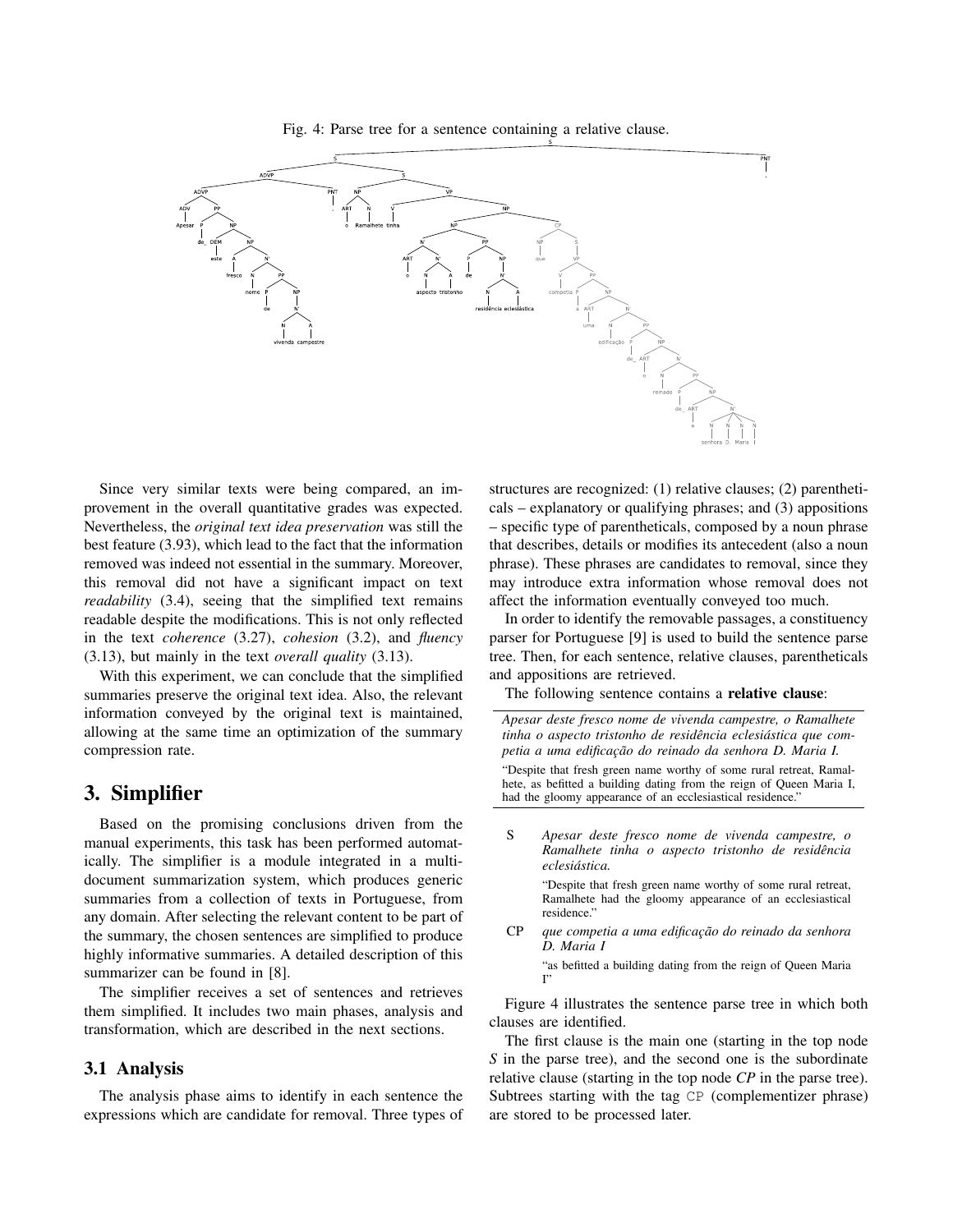Fig. 4: Parse tree for a sentence containing a relative clause.



Since very similar texts were being compared, an improvement in the overall quantitative grades was expected. Nevertheless, the *original text idea preservation* was still the best feature (3.93), which lead to the fact that the information removed was indeed not essential in the summary. Moreover, this removal did not have a significant impact on text *readability* (3.4), seeing that the simplified text remains readable despite the modifications. This is not only reflected in the text *coherence* (3.27), *cohesion* (3.2), and *fluency* (3.13), but mainly in the text *overall quality* (3.13).

With this experiment, we can conclude that the simplified summaries preserve the original text idea. Also, the relevant information conveyed by the original text is maintained, allowing at the same time an optimization of the summary compression rate.

# 3. Simplifier

Based on the promising conclusions driven from the manual experiments, this task has been performed automatically. The simplifier is a module integrated in a multidocument summarization system, which produces generic summaries from a collection of texts in Portuguese, from any domain. After selecting the relevant content to be part of the summary, the chosen sentences are simplified to produce highly informative summaries. A detailed description of this summarizer can be found in [8].

The simplifier receives a set of sentences and retrieves them simplified. It includes two main phases, analysis and transformation, which are described in the next sections.

# 3.1 Analysis

The analysis phase aims to identify in each sentence the expressions which are candidate for removal. Three types of structures are recognized: (1) relative clauses; (2) parentheticals – explanatory or qualifying phrases; and (3) appositions – specific type of parentheticals, composed by a noun phrase that describes, details or modifies its antecedent (also a noun phrase). These phrases are candidates to removal, since they may introduce extra information whose removal does not affect the information eventually conveyed too much.

In order to identify the removable passages, a constituency parser for Portuguese [9] is used to build the sentence parse tree. Then, for each sentence, relative clauses, parentheticals and appositions are retrieved.

The following sentence contains a relative clause:

*Apesar deste fresco nome de vivenda campestre, o Ramalhete tinha o aspecto tristonho de residência eclesiástica que competia a uma edificação do reinado da senhora D. Maria I.* "Despite that fresh green name worthy of some rural retreat, Ramalhete, as befitted a building dating from the reign of Queen Maria I, had the gloomy appearance of an ecclesiastical residence."

S *Apesar deste fresco nome de vivenda campestre, o Ramalhete tinha o aspecto tristonho de residência eclesiástica.*

> "Despite that fresh green name worthy of some rural retreat, Ramalhete had the gloomy appearance of an ecclesiastical residence."

CP *que competia a uma edificação do reinado da senhora D. Maria I*

> "as befitted a building dating from the reign of Queen Maria I"

Figure 4 illustrates the sentence parse tree in which both clauses are identified.

The first clause is the main one (starting in the top node *S* in the parse tree), and the second one is the subordinate relative clause (starting in the top node *CP* in the parse tree). Subtrees starting with the tag CP (complementizer phrase) are stored to be processed later.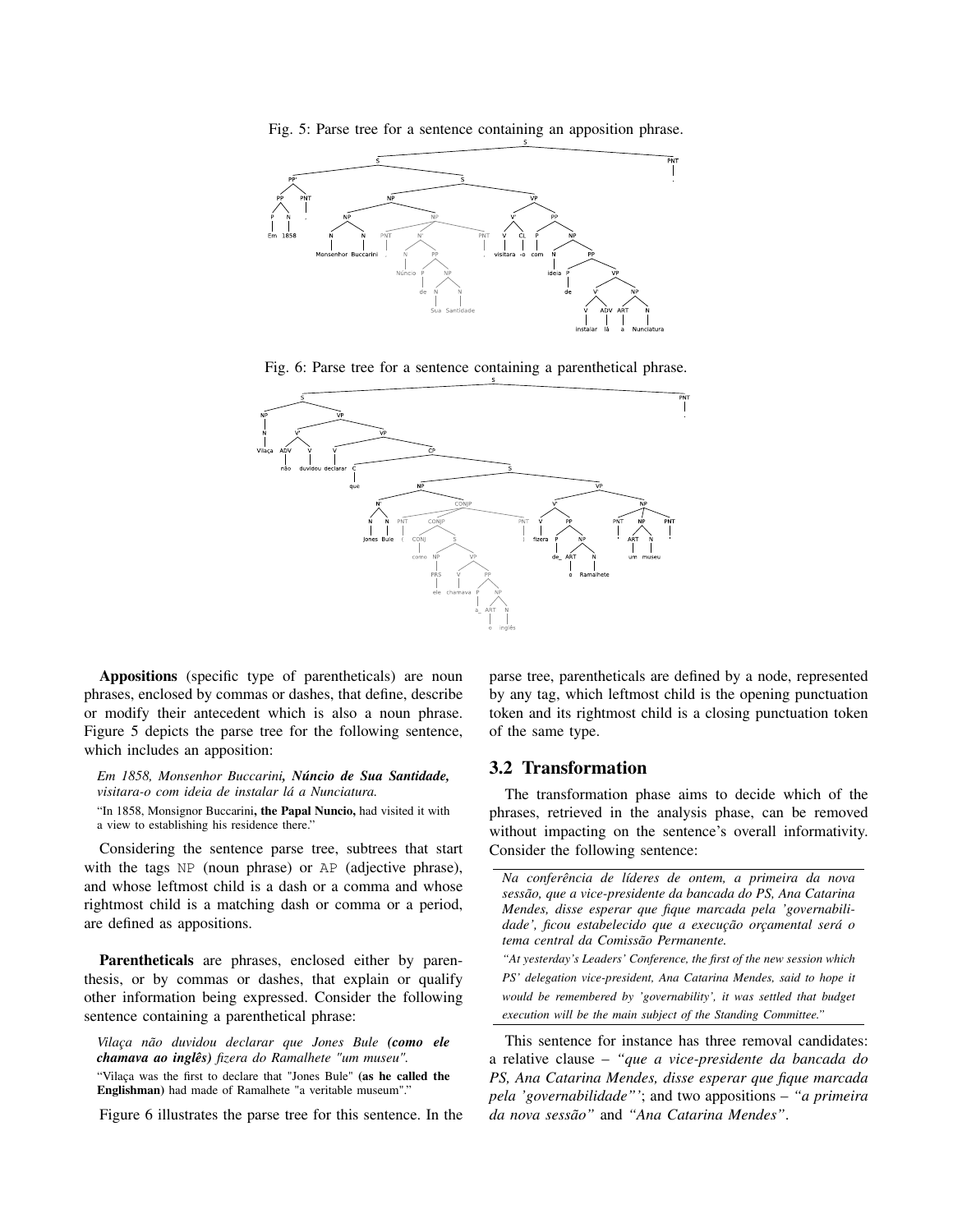Fig. 5: Parse tree for a sentence containing an apposition phrase.



Fig. 6: Parse tree for a sentence containing a parenthetical phrase.



Appositions (specific type of parentheticals) are noun phrases, enclosed by commas or dashes, that define, describe or modify their antecedent which is also a noun phrase. Figure 5 depicts the parse tree for the following sentence, which includes an apposition:

*Em 1858, Monsenhor Buccarini, Núncio de Sua Santidade, visitara-o com ideia de instalar lá a Nunciatura.*

"In 1858, Monsignor Buccarini, the Papal Nuncio, had visited it with a view to establishing his residence there."

Considering the sentence parse tree, subtrees that start with the tags NP (noun phrase) or AP (adjective phrase), and whose leftmost child is a dash or a comma and whose rightmost child is a matching dash or comma or a period, are defined as appositions.

Parentheticals are phrases, enclosed either by parenthesis, or by commas or dashes, that explain or qualify other information being expressed. Consider the following sentence containing a parenthetical phrase:

*Vilaça não duvidou declarar que Jones Bule (como ele chamava ao inglês) fizera do Ramalhete "um museu".*

"Vilaça was the first to declare that "Jones Bule" (as he called the Englishman) had made of Ramalhete "a veritable museum"."

Figure 6 illustrates the parse tree for this sentence. In the

parse tree, parentheticals are defined by a node, represented by any tag, which leftmost child is the opening punctuation token and its rightmost child is a closing punctuation token of the same type.

### 3.2 Transformation

The transformation phase aims to decide which of the phrases, retrieved in the analysis phase, can be removed without impacting on the sentence's overall informativity. Consider the following sentence:

*Na conferência de líderes de ontem, a primeira da nova sessão, que a vice-presidente da bancada do PS, Ana Catarina Mendes, disse esperar que fique marcada pela 'governabilidade', ficou estabelecido que a execução orçamental será o tema central da Comissão Permanente.*

*"At yesterday's Leaders' Conference, the first of the new session which PS' delegation vice-president, Ana Catarina Mendes, said to hope it would be remembered by 'governability', it was settled that budget execution will be the main subject of the Standing Committee."*

This sentence for instance has three removal candidates: a relative clause – *"que a vice-presidente da bancada do PS, Ana Catarina Mendes, disse esperar que fique marcada pela 'governabilidade"'*; and two appositions – *"a primeira da nova sessão"* and *"Ana Catarina Mendes"*.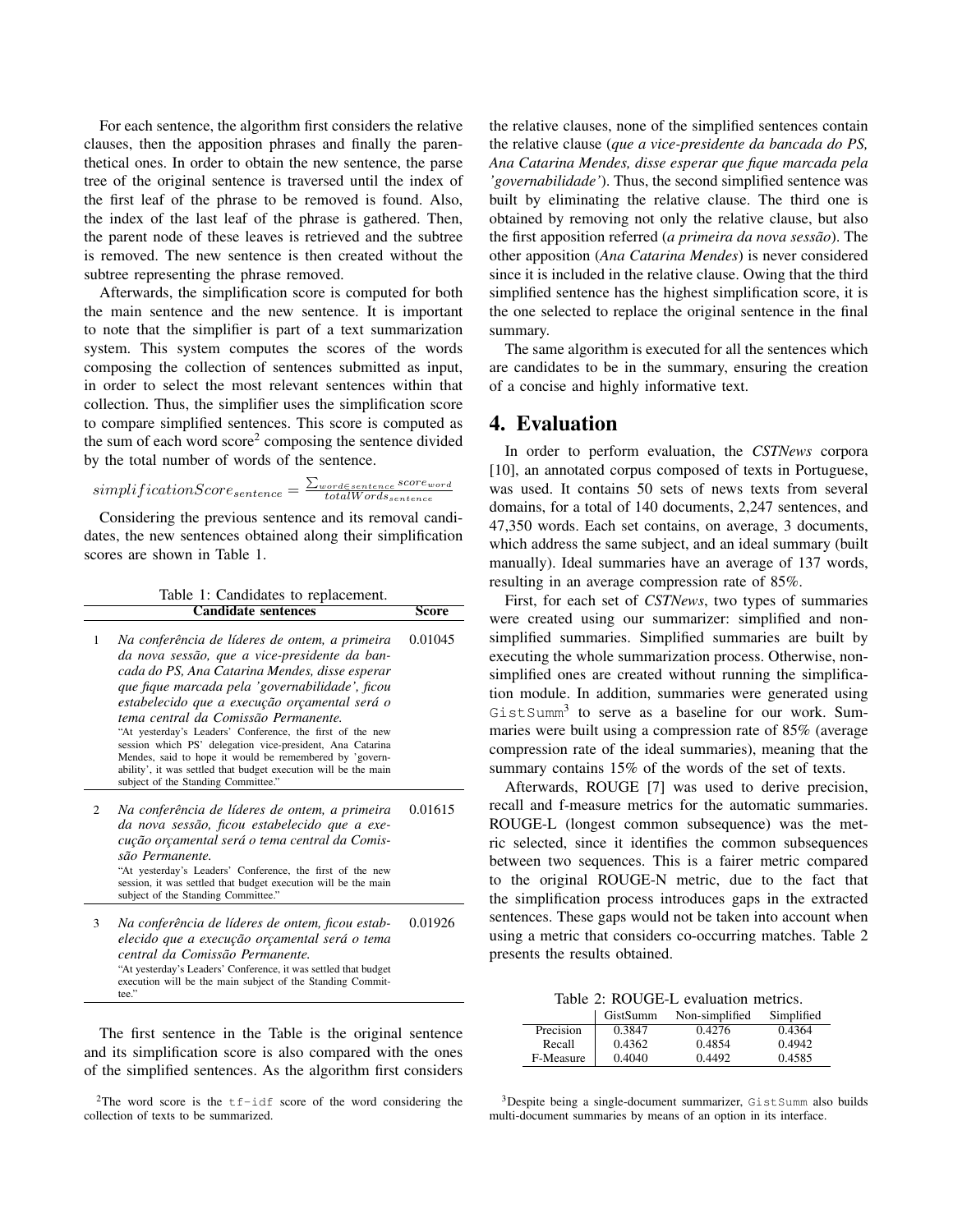For each sentence, the algorithm first considers the relative clauses, then the apposition phrases and finally the parenthetical ones. In order to obtain the new sentence, the parse tree of the original sentence is traversed until the index of the first leaf of the phrase to be removed is found. Also, the index of the last leaf of the phrase is gathered. Then, the parent node of these leaves is retrieved and the subtree is removed. The new sentence is then created without the subtree representing the phrase removed.

Afterwards, the simplification score is computed for both the main sentence and the new sentence. It is important to note that the simplifier is part of a text summarization system. This system computes the scores of the words composing the collection of sentences submitted as input, in order to select the most relevant sentences within that collection. Thus, the simplifier uses the simplification score to compare simplified sentences. This score is computed as the sum of each word score<sup>2</sup> composing the sentence divided by the total number of words of the sentence.

$$
simplificationScore_{sentence} = \frac{\sum_{word\in sentence} score_{word}}{totalWords_{sentence}}
$$

Considering the previous sentence and its removal candidates, the new sentences obtained along their simplification scores are shown in Table 1.

Table 1: Candidates to replacement. Candidate sentences Score

| 1              | Na conferência de líderes de ontem, a primeira<br>da nova sessão, que a vice-presidente da ban- | 0.01045 |
|----------------|-------------------------------------------------------------------------------------------------|---------|
|                | cada do PS, Ana Catarina Mendes, disse esperar                                                  |         |
|                | que fique marcada pela 'governabilidade', ficou                                                 |         |
|                | estabelecido que a execução orçamental será o                                                   |         |
|                | tema central da Comissão Permanente.                                                            |         |
|                | "At yesterday's Leaders' Conference, the first of the new                                       |         |
|                | session which PS' delegation vice-president, Ana Catarina                                       |         |
|                | Mendes, said to hope it would be remembered by 'govern-                                         |         |
|                | ability', it was settled that budget execution will be the main                                 |         |
|                | subject of the Standing Committee."                                                             |         |
| $\mathfrak{D}$ | Na conferência de líderes de ontem, a primeira                                                  | 0.01615 |
|                | da nova sessão, ficou estabelecido que a exe-                                                   |         |
|                | cução orçamental será o tema central da Comis-                                                  |         |
|                | são Permanente.                                                                                 |         |
|                | "At yesterday's Leaders' Conference, the first of the new                                       |         |
|                | session, it was settled that budget execution will be the main                                  |         |
|                | subject of the Standing Committee."                                                             |         |
| 3              | Na conferência de líderes de ontem, ficou estab-                                                | 0.01926 |
|                | elecido que a execução orçamental será o tema                                                   |         |
|                | central da Comissão Permanente.                                                                 |         |
|                | "At yesterday's Leaders' Conference, it was settled that budget                                 |         |
|                | execution will be the main subject of the Standing Commit-                                      |         |
|                | tee."                                                                                           |         |

The first sentence in the Table is the original sentence and its simplification score is also compared with the ones of the simplified sentences. As the algorithm first considers

<sup>2</sup>The word score is the  $tf-idf$  score of the word considering the collection of texts to be summarized.

the relative clauses, none of the simplified sentences contain the relative clause (*que a vice-presidente da bancada do PS, Ana Catarina Mendes, disse esperar que fique marcada pela 'governabilidade'*). Thus, the second simplified sentence was built by eliminating the relative clause. The third one is obtained by removing not only the relative clause, but also the first apposition referred (*a primeira da nova sessão*). The other apposition (*Ana Catarina Mendes*) is never considered since it is included in the relative clause. Owing that the third simplified sentence has the highest simplification score, it is the one selected to replace the original sentence in the final summary.

The same algorithm is executed for all the sentences which are candidates to be in the summary, ensuring the creation of a concise and highly informative text.

# 4. Evaluation

In order to perform evaluation, the *CSTNews* corpora [10], an annotated corpus composed of texts in Portuguese, was used. It contains 50 sets of news texts from several domains, for a total of 140 documents, 2,247 sentences, and 47,350 words. Each set contains, on average, 3 documents, which address the same subject, and an ideal summary (built manually). Ideal summaries have an average of 137 words, resulting in an average compression rate of 85%.

First, for each set of *CSTNews*, two types of summaries were created using our summarizer: simplified and nonsimplified summaries. Simplified summaries are built by executing the whole summarization process. Otherwise, nonsimplified ones are created without running the simplification module. In addition, summaries were generated using GistSumm<sup>3</sup> to serve as a baseline for our work. Summaries were built using a compression rate of 85% (average compression rate of the ideal summaries), meaning that the summary contains 15% of the words of the set of texts.

Afterwards, ROUGE [7] was used to derive precision, recall and f-measure metrics for the automatic summaries. ROUGE-L (longest common subsequence) was the metric selected, since it identifies the common subsequences between two sequences. This is a fairer metric compared to the original ROUGE-N metric, due to the fact that the simplification process introduces gaps in the extracted sentences. These gaps would not be taken into account when using a metric that considers co-occurring matches. Table 2 presents the results obtained.

Table 2: ROUGE-L evaluation metrics.

|           | GistSumm | Non-simplified | Simplified |
|-----------|----------|----------------|------------|
| Precision | 0.3847   | 0.4276         | 0.4364     |
| Recall    | 0.4362   | 0.4854         | 0.4942     |
| F-Measure | 0.4040   | 0.4492         | 0.4585     |

<sup>3</sup>Despite being a single-document summarizer, GistSumm also builds multi-document summaries by means of an option in its interface.